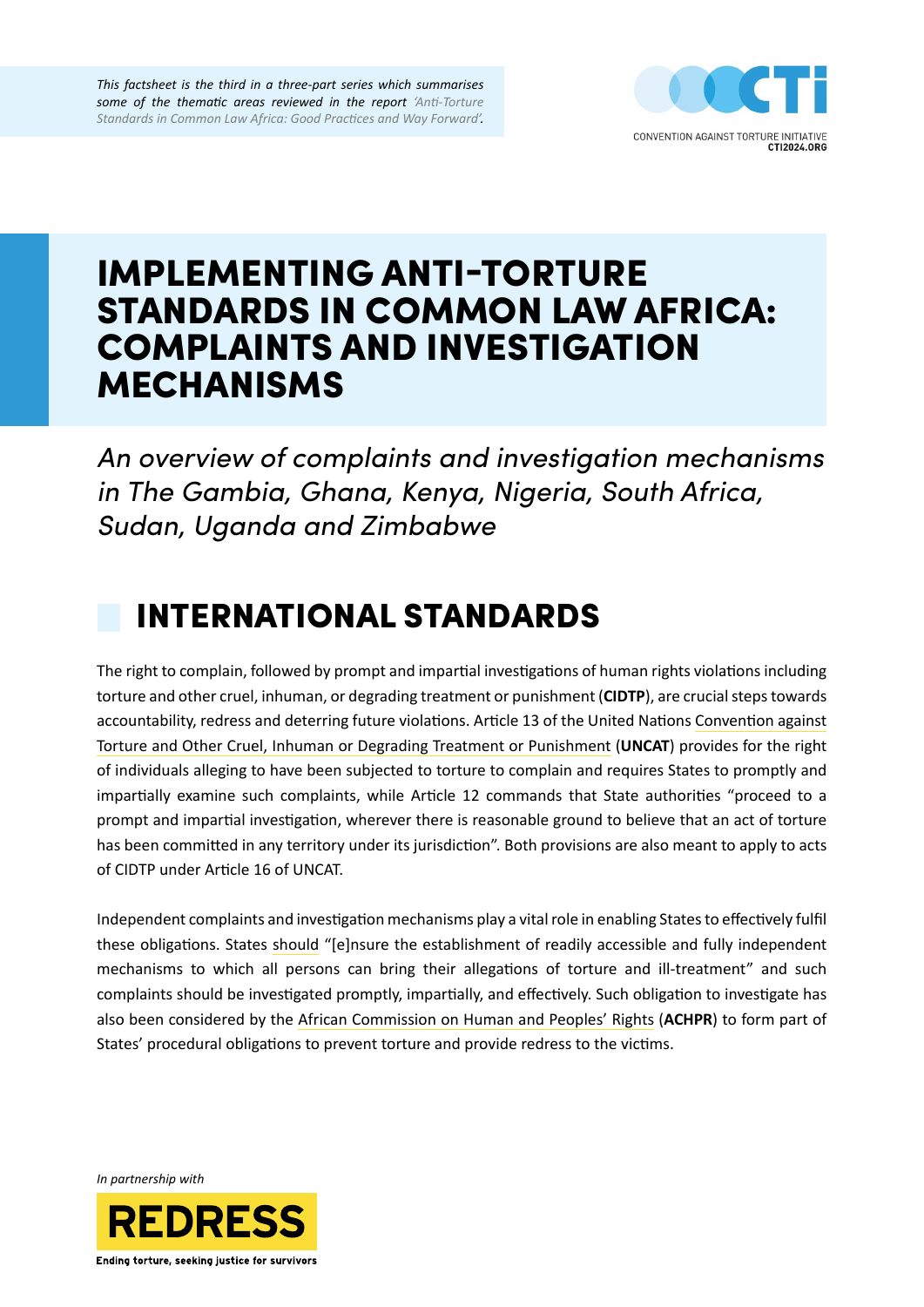*This factsheet is the third in a three-part series which summarises some of the thematic areas reviewed in the report ['Anti-Torture](https://redress.org/publication/anti-torture-standards-in-common-law-africa-good-practices-and-way-forward/)  [Standards in Common Law Africa: Good Practices and Way Forward'](https://redress.org/publication/anti-torture-standards-in-common-law-africa-good-practices-and-way-forward/).*



# IMPLEMENTING ANTI-TORTURE STANDARDS IN COMMON LAW AFRICA: COMPLAINTS AND INVESTIGATION MECHANISMS

*An overview of complaints and investigation mechanisms in The Gambia, Ghana, Kenya, Nigeria, South Africa, Sudan, Uganda and Zimbabwe*

# INTERNATIONAL STANDARDS

The right to complain, followed by prompt and impartial investigations of human rights violations including torture and other cruel, inhuman, or degrading treatment or punishment (**CIDTP**), are crucial steps towards accountability, redress and deterring future violations. Article 13 of the United Nations [Convention against](https://www.ohchr.org/en/professionalinterest/pages/cat.aspx)  [Torture and Other Cruel, Inhuman or Degrading Treatment or Punishment](https://www.ohchr.org/en/professionalinterest/pages/cat.aspx) (**UNCAT**) provides for the right of individuals alleging to have been subjected to torture to complain and requires States to promptly and impartially examine such complaints, while Article 12 commands that State authorities "proceed to a prompt and impartial investigation, wherever there is reasonable ground to believe that an act of torture has been committed in any territory under its jurisdiction". Both provisions are also meant to apply to acts of CIDTP under Article 16 of UNCAT.

Independent complaints and investigation mechanisms play a vital role in enabling States to effectively fulfil these obligations. States [should](https://www.achpr.org/presspublic/publication?id=33) "[e]nsure the establishment of readily accessible and fully independent mechanisms to which all persons can bring their allegations of torture and ill-treatment" and such complaints should be investigated promptly, impartially, and effectively. Such obligation to investigate has also been considered by the [African Commission on Human and Peoples' Rights](https://www.achpr.org/legalinstruments/detail?id=60) (**ACHPR**) to form part of States' procedural obligations to prevent torture and provide redress to the victims.

*In partnership with*

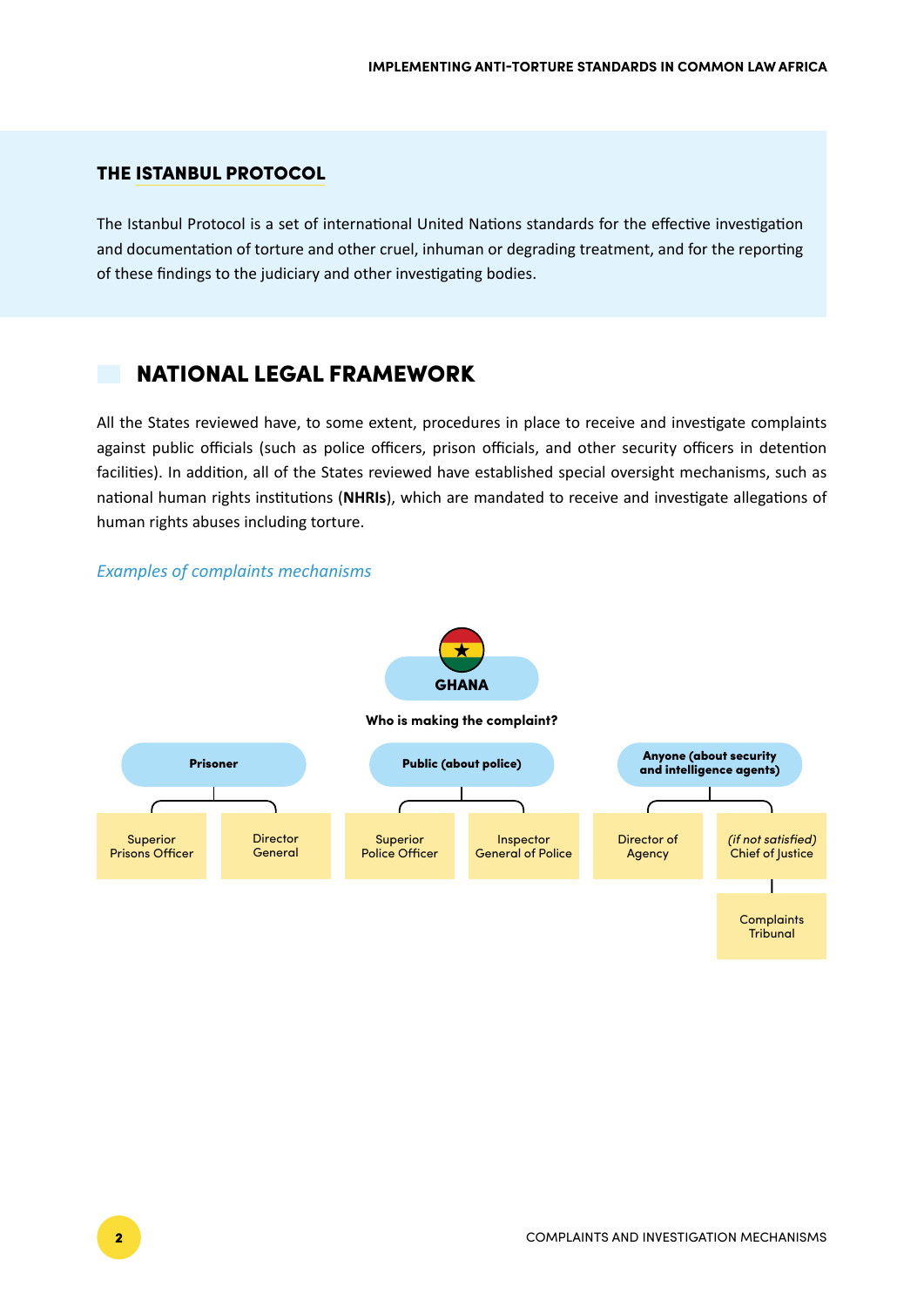#### THE [ISTANBUL PROTOCOL](https://www.ohchr.org/documents/publications/training8rev1en.pdf)

The Istanbul Protocol is a set of international United Nations standards for the effective investigation and documentation of torture and other cruel, inhuman or degrading treatment, and for the reporting of these findings to the judiciary and other investigating bodies.

## NATIONAL LEGAL FRAMEWORK

All the States reviewed have, to some extent, procedures in place to receive and investigate complaints against public officials (such as police officers, prison officials, and other security officers in detention facilities). In addition, all of the States reviewed have established special oversight mechanisms, such as national human rights institutions (**NHRIs**), which are mandated to receive and investigate allegations of human rights abuses including torture.

#### *Examples of complaints mechanisms*



#### **Who is making the complaint?**

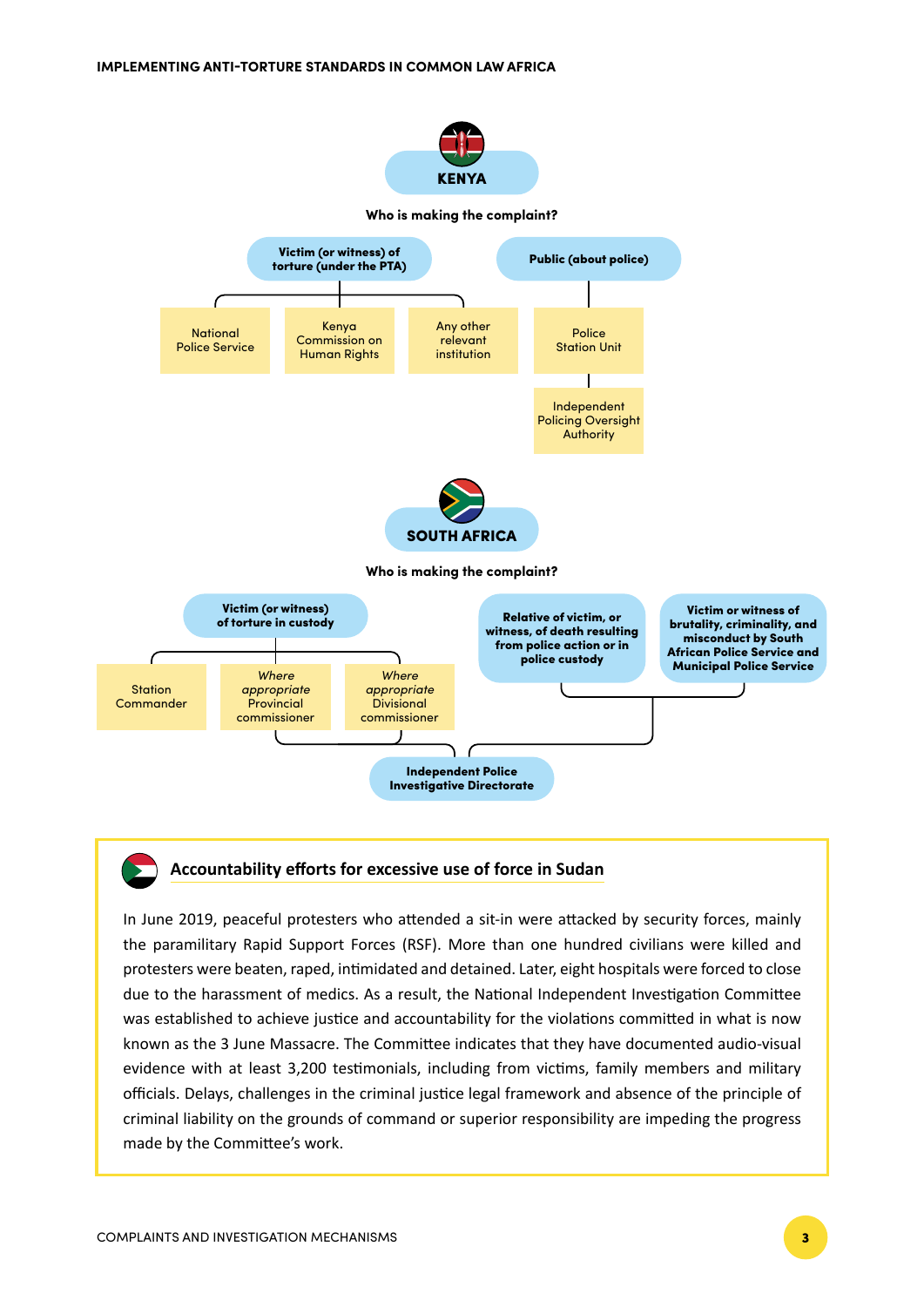

#### **Accountability efforts for excessive use of force in Sudan**

In June 2019, peaceful protesters who attended a sit-in were attacked by security forces, mainly the paramilitary Rapid Support Forces (RSF). More than one hundred civilians were killed and protesters were beaten, raped, intimidated and detained. Later, eight hospitals were forced to close due to the harassment of medics. As a result, the National Independent Investigation Committee was established to achieve justice and accountability for the violations committed in what is now known as the 3 June Massacre. The Committee indicates that they have documented audio-visual evidence with at least 3,200 testimonials, including from victims, family members and military officials. Delays, challenges in the criminal justice legal framework and absence of the principle of criminal liability on the grounds of command or superior responsibility are impeding the progress made by the Committee's work.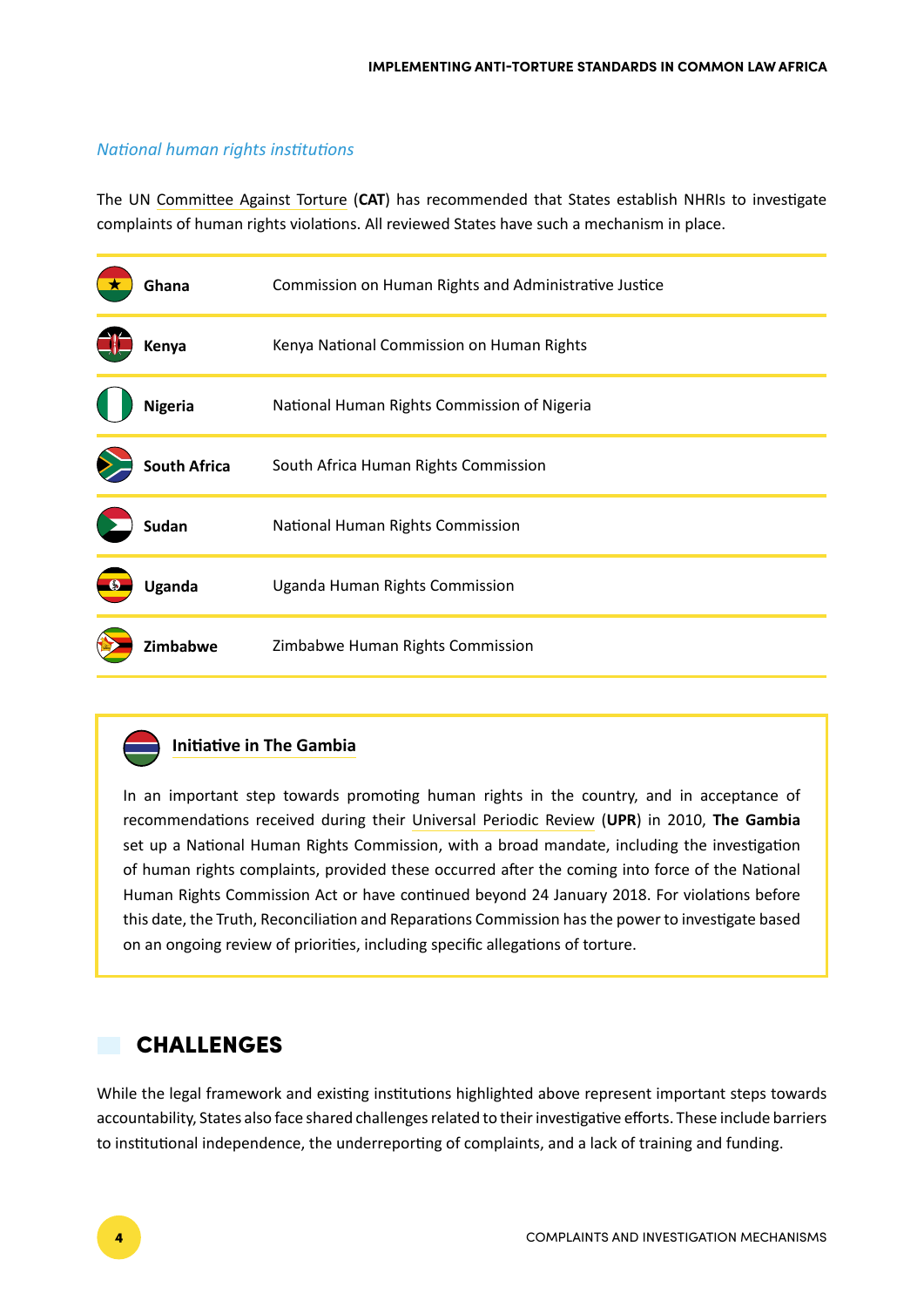#### *National human rights institutions*

The UN [Committee Against Torture](https://documents-dds-ny.un.org/doc/UNDOC/GEN/N01/577/27/IMG/N0157727.pdf?OpenElement) (**CAT**) has recommended that States establish NHRIs to investigate complaints of human rights violations. All reviewed States have such a mechanism in place.

| Ghana               | Commission on Human Rights and Administrative Justice |
|---------------------|-------------------------------------------------------|
| Kenya               | Kenya National Commission on Human Rights             |
| <b>Nigeria</b>      | National Human Rights Commission of Nigeria           |
| <b>South Africa</b> | South Africa Human Rights Commission                  |
| <b>Sudan</b>        | National Human Rights Commission                      |
| Uganda              | Uganda Human Rights Commission                        |
| Zimbabwe            | Zimbabwe Human Rights Commission                      |

### **Initiative in The Gambia**

In an important step towards promoting human rights in the country, and in acceptance of recommendations received during their [Universal Periodic Review](https://www.ohchr.org/EN/HRBodies/UPR/Pages/UPRGMUNContributionsS20.aspx) (**UPR**) in 2010, **The Gambia**  set up a National Human Rights Commission, with a broad mandate, including the investigation of human rights complaints, provided these occurred after the coming into force of the National Human Rights Commission Act or have continued beyond 24 January 2018. For violations before this date, the Truth, Reconciliation and Reparations Commission has the power to investigate based on an ongoing review of priorities, including specific allegations of torture.

## CHALLENGES

While the legal framework and existing institutions highlighted above represent important steps towards accountability, States also face shared challenges related to their investigative efforts. These include barriers to institutional independence, the underreporting of complaints, and a lack of training and funding.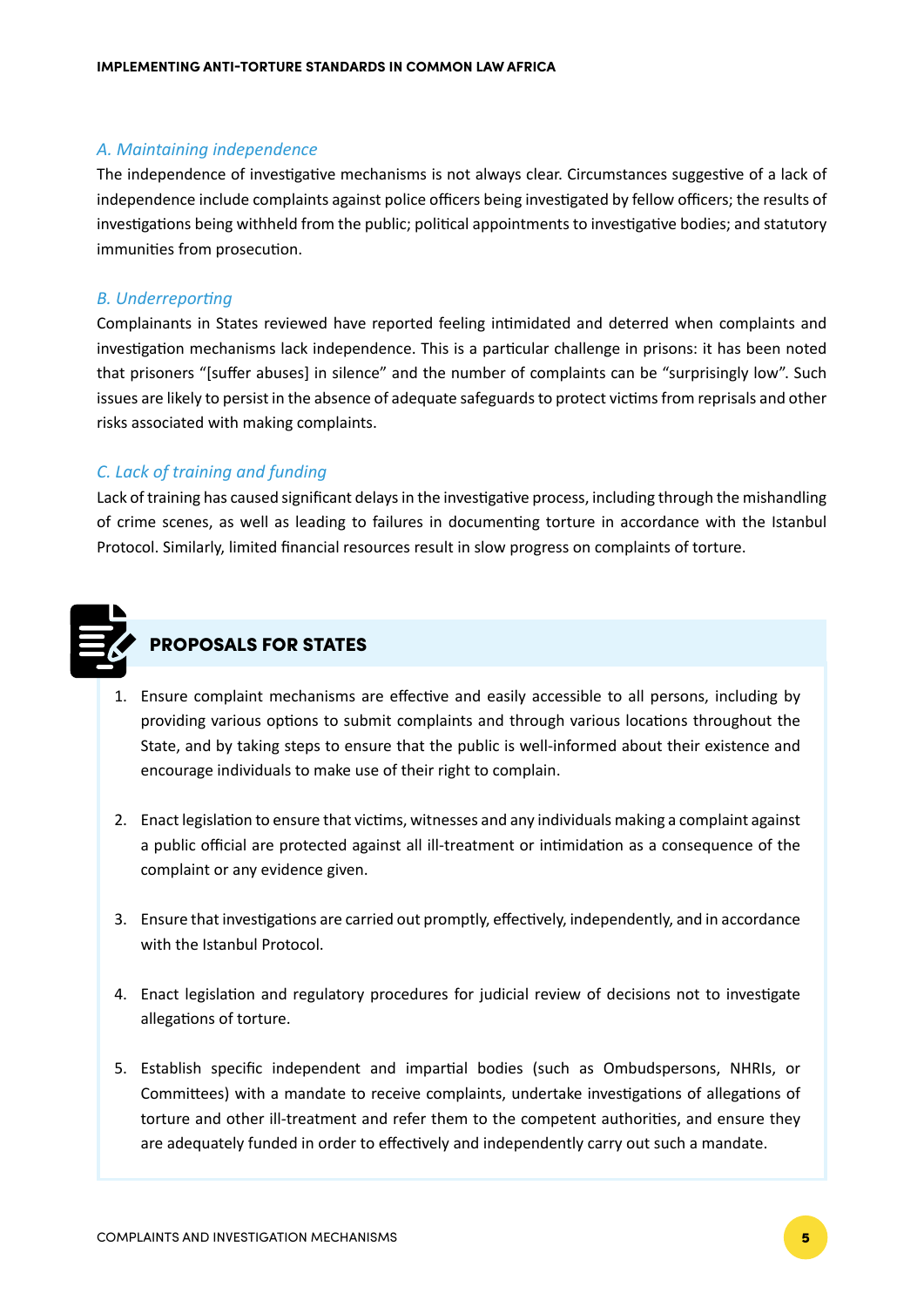#### *A. Maintaining independence*

The independence of investigative mechanisms is not always clear. Circumstances suggestive of a lack of independence include complaints against police officers being investigated by fellow officers; the results of investigations being withheld from the public; political appointments to investigative bodies; and statutory immunities from prosecution.

### *B. Underreporting*

Complainants in States reviewed have reported feeling intimidated and deterred when complaints and investigation mechanisms lack independence. This is a particular challenge in prisons: it has been noted that prisoners "[suffer abuses] in silence" and the number of complaints can be "surprisingly low". Such issues are likely to persist in the absence of adequate safeguards to protect victims from reprisals and other risks associated with making complaints.

### *C. Lack of training and funding*

Lack of training has caused significant delays in the investigative process, including through the mishandling of crime scenes, as well as leading to failures in documenting torture in accordance with the Istanbul Protocol. Similarly, limited financial resources result in slow progress on complaints of torture.



## PROPOSALS FOR STATES

- 1. Ensure complaint mechanisms are effective and easily accessible to all persons, including by providing various options to submit complaints and through various locations throughout the State, and by taking steps to ensure that the public is well-informed about their existence and encourage individuals to make use of their right to complain.
- 2. Enact legislation to ensure that victims, witnesses and any individuals making a complaint against a public official are protected against all ill-treatment or intimidation as a consequence of the complaint or any evidence given.
- 3. Ensure that investigations are carried out promptly, effectively, independently, and in accordance with the Istanbul Protocol.
- 4. Enact legislation and regulatory procedures for judicial review of decisions not to investigate allegations of torture.
- 5. Establish specific independent and impartial bodies (such as Ombudspersons, NHRIs, or Committees) with a mandate to receive complaints, undertake investigations of allegations of torture and other ill-treatment and refer them to the competent authorities, and ensure they are adequately funded in order to effectively and independently carry out such a mandate.